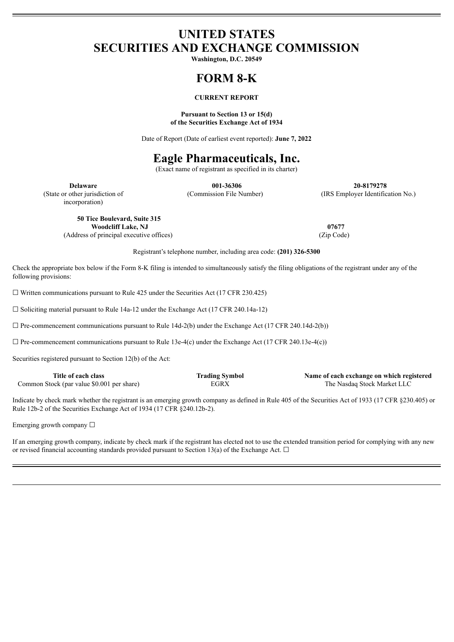# **UNITED STATES SECURITIES AND EXCHANGE COMMISSION**

**Washington, D.C. 20549**

# **FORM 8-K**

# **CURRENT REPORT**

# **Pursuant to Section 13 or 15(d) of the Securities Exchange Act of 1934**

Date of Report (Date of earliest event reported): **June 7, 2022**

# **Eagle Pharmaceuticals, Inc.**

(Exact name of registrant as specified in its charter)

incorporation)

**Delaware 001-36306 20-8179278** (State or other jurisdiction of (Commission File Number) (IRS Employer Identification No.)

**50 Tice Boulevard, Suite 315 Woodcliff Lake, NJ 07677**

(Address of principal executive offices) (Zip Code)

Registrant's telephone number, including area code: **(201) 326-5300**

Check the appropriate box below if the Form 8-K filing is intended to simultaneously satisfy the filing obligations of the registrant under any of the following provisions:

 $\Box$  Written communications pursuant to Rule 425 under the Securities Act (17 CFR 230.425)

☐ Soliciting material pursuant to Rule 14a-12 under the Exchange Act (17 CFR 240.14a-12)

 $\Box$  Pre-commencement communications pursuant to Rule 14d-2(b) under the Exchange Act (17 CFR 240.14d-2(b))

 $\Box$  Pre-commencement communications pursuant to Rule 13e-4(c) under the Exchange Act (17 CFR 240.13e-4(c))

Securities registered pursuant to Section 12(b) of the Act:

| Title of each class                        | <b>Trading Symbol</b> | Name of each exchange on which registered |
|--------------------------------------------|-----------------------|-------------------------------------------|
| Common Stock (par value \$0.001 per share) | EGRX                  | The Nasdaq Stock Market LLC               |

Indicate by check mark whether the registrant is an emerging growth company as defined in Rule 405 of the Securities Act of 1933 (17 CFR §230.405) or Rule 12b-2 of the Securities Exchange Act of 1934 (17 CFR §240.12b-2).

Emerging growth company  $\Box$ 

If an emerging growth company, indicate by check mark if the registrant has elected not to use the extended transition period for complying with any new or revised financial accounting standards provided pursuant to Section 13(a) of the Exchange Act.  $\Box$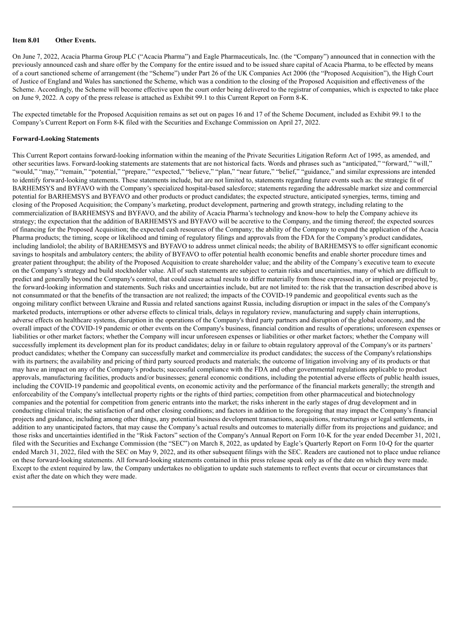# **Item 8.01 Other Events.**

On June 7, 2022, Acacia Pharma Group PLC ("Acacia Pharma") and Eagle Pharmaceuticals, Inc. (the "Company") announced that in connection with the previously announced cash and share offer by the Company for the entire issued and to be issued share capital of Acacia Pharma, to be effected by means of a court sanctioned scheme of arrangement (the "Scheme") under Part 26 of the UK Companies Act 2006 (the "Proposed Acquisition"), the High Court of Justice of England and Wales has sanctioned the Scheme, which was a condition to the closing of the Proposed Acquisition and effectiveness of the Scheme. Accordingly, the Scheme will become effective upon the court order being delivered to the registrar of companies, which is expected to take place on June 9, 2022. A copy of the press release is attached as Exhibit 99.1 to this Current Report on Form 8-K.

The expected timetable for the Proposed Acquisition remains as set out on pages 16 and 17 of the Scheme Document, included as Exhibit 99.1 to the Company's Current Report on Form 8-K filed with the Securities and Exchange Commission on April 27, 2022.

## **Forward-Looking Statements**

This Current Report contains forward-looking information within the meaning of the Private Securities Litigation Reform Act of 1995, as amended, and other securities laws. Forward-looking statements are statements that are not historical facts. Words and phrases such as "anticipated," "forward," "will," "would," "may," "remain," "potential," "prepare," "expected," "believe," "plan," "near future," "belief," "guidance," and similar expressions are intended to identify forward-looking statements. These statements include, but are not limited to, statements regarding future events such as: the strategic fit of BARHEMSYS and BYFAVO with the Company's specialized hospital-based salesforce; statements regarding the addressable market size and commercial potential for BARHEMSYS and BYFAVO and other products or product candidates; the expected structure, anticipated synergies, terms, timing and closing of the Proposed Acquisition; the Company's marketing, product development, partnering and growth strategy, including relating to the commercialization of BARHEMSYS and BYFAVO, and the ability of Acacia Pharma's technology and know-how to help the Company achieve its strategy; the expectation that the addition of BARHEMSYS and BYFAVO will be accretive to the Company, and the timing thereof; the expected sources of financing for the Proposed Acquisition; the expected cash resources of the Company; the ability of the Company to expand the application of the Acacia Pharma products; the timing, scope or likelihood and timing of regulatory filings and approvals from the FDA for the Company's product candidates, including landiolol; the ability of BARHEMSYS and BYFAVO to address unmet clinical needs; the ability of BARHEMSYS to offer significant economic savings to hospitals and ambulatory centers; the ability of BYFAVO to offer potential health economic benefits and enable shorter procedure times and greater patient throughput; the ability of the Proposed Acquisition to create shareholder value; and the ability of the Company's executive team to execute on the Company's strategy and build stockholder value. All of such statements are subject to certain risks and uncertainties, many of which are difficult to predict and generally beyond the Company's control, that could cause actual results to differ materially from those expressed in, or implied or projected by, the forward-looking information and statements. Such risks and uncertainties include, but are not limited to: the risk that the transaction described above is not consummated or that the benefits of the transaction are not realized; the impacts of the COVID-19 pandemic and geopolitical events such as the ongoing military conflict between Ukraine and Russia and related sanctions against Russia, including disruption or impact in the sales of the Company's marketed products, interruptions or other adverse effects to clinical trials, delays in regulatory review, manufacturing and supply chain interruptions, adverse effects on healthcare systems, disruption in the operations of the Company's third party partners and disruption of the global economy, and the overall impact of the COVID-19 pandemic or other events on the Company's business, financial condition and results of operations; unforeseen expenses or liabilities or other market factors; whether the Company will incur unforeseen expenses or liabilities or other market factors; whether the Company will successfully implement its development plan for its product candidates; delay in or failure to obtain regulatory approval of the Company's or its partners' product candidates; whether the Company can successfully market and commercialize its product candidates; the success of the Company's relationships with its partners; the availability and pricing of third party sourced products and materials; the outcome of litigation involving any of its products or that may have an impact on any of the Company's products; successful compliance with the FDA and other governmental regulations applicable to product approvals, manufacturing facilities, products and/or businesses; general economic conditions, including the potential adverse effects of public health issues, including the COVID-19 pandemic and geopolitical events, on economic activity and the performance of the financial markets generally; the strength and enforceability of the Company's intellectual property rights or the rights of third parties; competition from other pharmaceutical and biotechnology companies and the potential for competition from generic entrants into the market; the risks inherent in the early stages of drug development and in conducting clinical trials; the satisfaction of and other closing conditions; and factors in addition to the foregoing that may impact the Company's financial projects and guidance, including among other things, any potential business development transactions, acquisitions, restructurings or legal settlements, in addition to any unanticipated factors, that may cause the Company's actual results and outcomes to materially differ from its projections and guidance; and those risks and uncertainties identified in the "Risk Factors" section of the Company's Annual Report on Form 10-K for the year ended December 31, 2021, filed with the Securities and Exchange Commission (the "SEC") on March 8, 2022, as updated by Eagle's Quarterly Report on Form 10-Q for the quarter ended March 31, 2022, filed with the SEC on May 9, 2022, and its other subsequent filings with the SEC. Readers are cautioned not to place undue reliance on these forward-looking statements. All forward-looking statements contained in this press release speak only as of the date on which they were made. Except to the extent required by law, the Company undertakes no obligation to update such statements to reflect events that occur or circumstances that exist after the date on which they were made.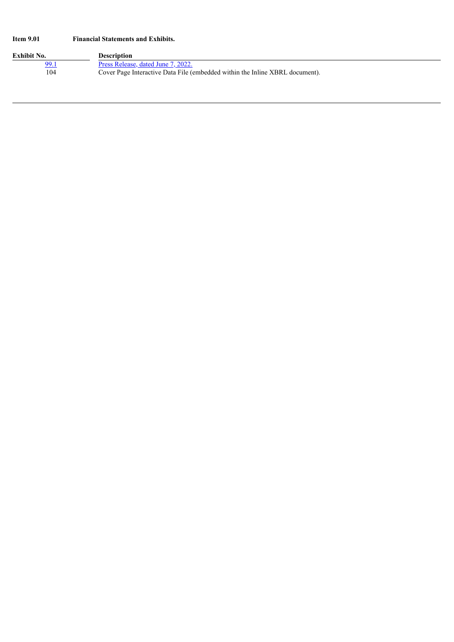# **Item 9.01 Financial Statements and Exhibits.**

| Exhibit No. | Description                                                                  |
|-------------|------------------------------------------------------------------------------|
| 99.1        | Press Release, dated June 7, 2022.                                           |
| 104         | Cover Page Interactive Data File (embedded within the Inline XBRL document). |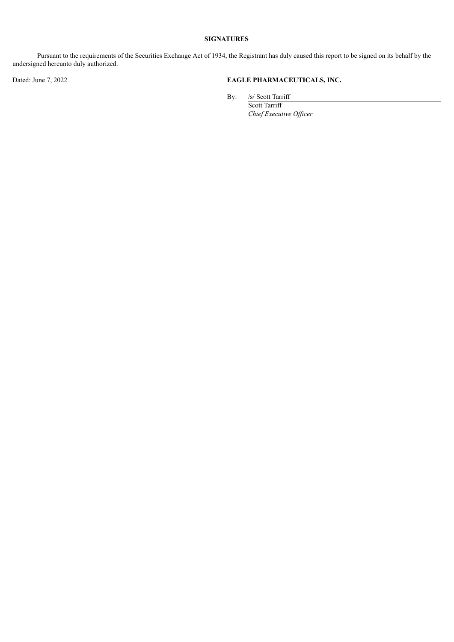# **SIGNATURES**

Pursuant to the requirements of the Securities Exchange Act of 1934, the Registrant has duly caused this report to be signed on its behalf by the undersigned hereunto duly authorized.

# Dated: June 7, 2022 **EAGLE PHARMACEUTICALS, INC.**

By: /s/ Scott Tarriff

Scott Tarriff *Chief Executive Of icer*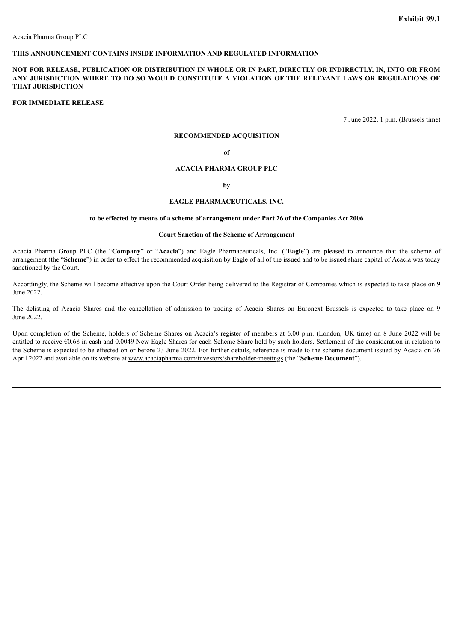# <span id="page-4-0"></span>**THIS ANNOUNCEMENT CONTAINS INSIDE INFORMATION AND REGULATED INFORMATION**

# NOT FOR RELEASE, PUBLICATION OR DISTRIBUTION IN WHOLE OR IN PART, DIRECTLY OR INDIRECTLY, IN, INTO OR FROM **ANY JURISDICTION WHERE TO DO SO WOULD CONSTITUTE A VIOLATION OF THE RELEVANT LAWS OR REGULATIONS OF THAT JURISDICTION**

## **FOR IMMEDIATE RELEASE**

7 June 2022, 1 p.m. (Brussels time)

# **RECOMMENDED ACQUISITION**

#### **of**

#### **ACACIA PHARMA GROUP PLC**

#### **by**

#### **EAGLE PHARMACEUTICALS, INC.**

#### **to be effected by means of a scheme of arrangement under Part 26 of the Companies Act 2006**

#### **Court Sanction of the Scheme of Arrangement**

Acacia Pharma Group PLC (the "**Company**" or "**Acacia**") and Eagle Pharmaceuticals, Inc. ("**Eagle**") are pleased to announce that the scheme of arrangement (the "**Scheme**") in order to effect the recommended acquisition by Eagle of all of the issued and to be issued share capital of Acacia was today sanctioned by the Court.

Accordingly, the Scheme will become effective upon the Court Order being delivered to the Registrar of Companies which is expected to take place on 9 June 2022.

The delisting of Acacia Shares and the cancellation of admission to trading of Acacia Shares on Euronext Brussels is expected to take place on 9 June 2022.

Upon completion of the Scheme, holders of Scheme Shares on Acacia's register of members at 6.00 p.m. (London, UK time) on 8 June 2022 will be entitled to receive €0.68 in cash and 0.0049 New Eagle Shares for each Scheme Share held by such holders. Settlement of the consideration in relation to the Scheme is expected to be effected on or before 23 June 2022. For further details, reference is made to the scheme document issued by Acacia on 26 April 2022 and available on its website at www.acaciapharma.com/investors/shareholder-meetings (the "**Scheme Document**").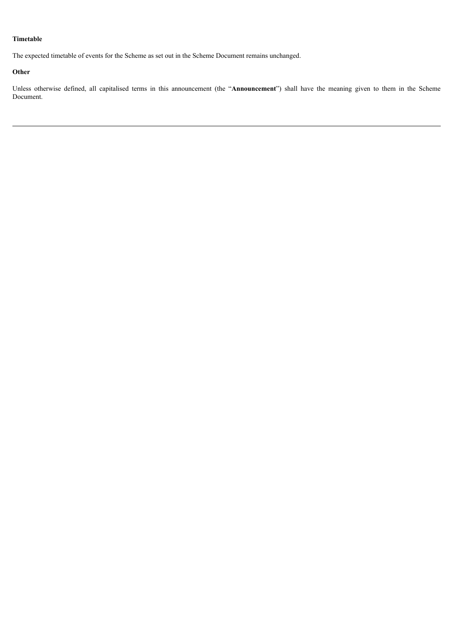# **Timetable**

The expected timetable of events for the Scheme as set out in the Scheme Document remains unchanged.

# **Other**

Unless otherwise defined, all capitalised terms in this announcement (the "**Announcement**") shall have the meaning given to them in the Scheme Document.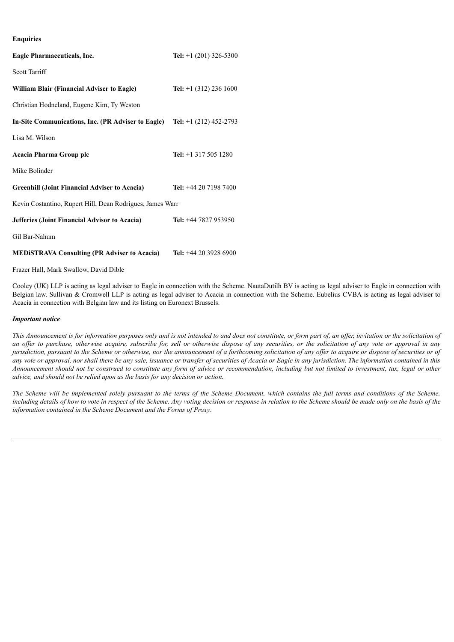# **Enquiries**

| Eagle Pharmaceuticals, Inc.                               | <b>Tel:</b> $+1$ (201) 326-5300 |  |  |
|-----------------------------------------------------------|---------------------------------|--|--|
| Scott Tarriff                                             |                                 |  |  |
| <b>William Blair (Financial Adviser to Eagle)</b>         | <b>Tel:</b> $+1$ (312) 236 1600 |  |  |
| Christian Hodneland, Eugene Kim, Ty Weston                |                                 |  |  |
| In-Site Communications, Inc. (PR Adviser to Eagle)        | Tel: $+1$ (212) 452-2793        |  |  |
| Lisa M. Wilson                                            |                                 |  |  |
| Acacia Pharma Group plc                                   | Tel: $+1$ 317 505 1280          |  |  |
| Mike Bolinder                                             |                                 |  |  |
| <b>Greenhill (Joint Financial Adviser to Acacia)</b>      | Tel: +44 20 7198 7400           |  |  |
| Kevin Costantino, Rupert Hill, Dean Rodrigues, James Warr |                                 |  |  |
| <b>Jefferies (Joint Financial Advisor to Acacia)</b>      | Tel: +44 7827 953950            |  |  |
| Gil Bar-Nahum                                             |                                 |  |  |
| <b>MEDISTRAVA Consulting (PR Adviser to Acacia)</b>       | Tel: $+442039286900$            |  |  |

Frazer Hall, Mark Swallow, David Dible

Cooley (UK) LLP is acting as legal adviser to Eagle in connection with the Scheme. NautaDutilh BV is acting as legal adviser to Eagle in connection with Belgian law. Sullivan & Cromwell LLP is acting as legal adviser to Acacia in connection with the Scheme. Eubelius CVBA is acting as legal adviser to Acacia in connection with Belgian law and its listing on Euronext Brussels.

#### *Important notice*

This Announcement is for information purposes only and is not intended to and does not constitute, or form part of, an offer, invitation or the solicitation of an offer to purchase, otherwise acquire, subscribe for, sell or otherwise dispose of any securities, or the solicitation of any vote or approval in any jurisdiction, pursuant to the Scheme or otherwise, nor the announcement of a forthcoming solicitation of any offer to acquire or dispose of securities or of any vote or approval, nor shall there be any sale, issuance or transfer of securities of Acacia or Eagle in any jurisdiction. The information contained in this Announcement should not be construed to constitute any form of advice or recommendation, including but not limited to investment, tax, legal or other *advice, and should not be relied upon as the basis for any decision or action.*

The Scheme will be implemented solely pursuant to the terms of the Scheme Document, which contains the full terms and conditions of the Scheme, including details of how to vote in respect of the Scheme. Any voting decision or response in relation to the Scheme should be made only on the basis of the *information contained in the Scheme Document and the Forms of Proxy.*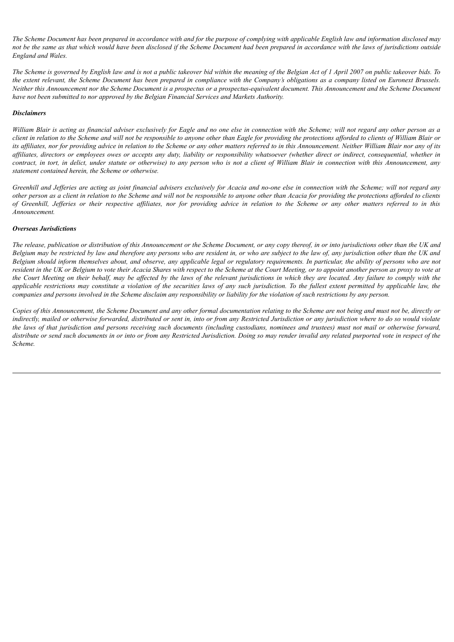The Scheme Document has been prepared in accordance with and for the purpose of complying with applicable English law and information disclosed may not be the same as that which would have been disclosed if the Scheme Document had been prepared in accordance with the laws of jurisdictions outside *England and Wales.*

The Scheme is governed by English law and is not a public takeover bid within the meaning of the Belgian Act of 1 April 2007 on public takeover bids. To the extent relevant, the Scheme Document has been prepared in compliance with the Company's obligations as a company listed on Euronext Brussels. Neither this Announcement nor the Scheme Document is a prospectus or a prospectus-equivalent document. This Announcement and the Scheme Document *have not been submitted to nor approved by the Belgian Financial Services and Markets Authority.*

# *Disclaimers*

William Blair is acting as financial adviser exclusively for Eagle and no one else in connection with the Scheme; will not regard any other person as a client in relation to the Scheme and will not be responsible to anyone other than Eagle for providing the protections afforded to clients of William Blair or its affiliates, nor for providing advice in relation to the Scheme or any other matters referred to in this Announcement. Neither William Blair nor any of its affiliates, directors or employees owes or accepts any duty, liability or responsibility whatsoever (whether direct or indirect, consequential, whether in contract, in tort, in delict, under statute or otherwise) to any person who is not a client of William Blair in connection with this Announcement, any *statement contained herein, the Scheme or otherwise.*

Greenhill and Jefferies are acting as joint financial advisers exclusively for Acacia and no-one else in connection with the Scheme; will not regard any other person as a client in relation to the Scheme and will not be responsible to anyone other than Acacia for providing the protections afforded to clients of Greenhill, Jefferies or their respective affiliates, nor for providing advice in relation to the Scheme or any other matters referred to in this *Announcement.*

## *Overseas Jurisdictions*

The release, publication or distribution of this Announcement or the Scheme Document, or any copy thereof, in or into jurisdictions other than the UK and Belgium may be restricted by law and therefore any persons who are resident in, or who are subject to the law of, any jurisdiction other than the UK and Belgium should inform themselves about, and observe, any applicable legal or regulatory requirements. In particular, the ability of persons who are not resident in the UK or Belgium to vote their Acacia Shares with respect to the Scheme at the Court Meeting, or to appoint another person as proxy to vote at the Court Meeting on their behalf, may be affected by the laws of the relevant jurisdictions in which they are located. Any failure to comply with the applicable restrictions may constitute a violation of the securities laws of any such jurisdiction. To the fullest extent permitted by applicable law, the companies and persons involved in the Scheme disclaim any responsibility or liability for the violation of such restrictions by any person.

Copies of this Announcement, the Scheme Document and any other formal documentation relating to the Scheme are not being and must not be, directly or indirectly, mailed or otherwise forwarded, distributed or sent in, into or from any Restricted Jurisdiction or any jurisdiction where to do so would violate the laws of that jurisdiction and persons receiving such documents (including custodians, nominees and trustees) must not mail or otherwise forward, distribute or send such documents in or into or from any Restricted Jurisdiction. Doing so may render invalid any related purported vote in respect of the *Scheme.*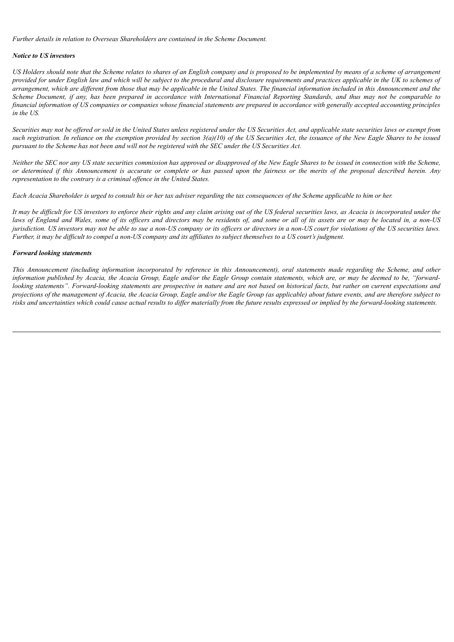*Further details in relation to Overseas Shareholders are contained in the Scheme Document.*

# *Notice to US investors*

US Holders should note that the Scheme relates to shares of an English company and is proposed to be implemented by means of a scheme of arrangement provided for under English law and which will be subject to the procedural and disclosure requirements and practices applicable in the UK to schemes of arrangement, which are different from those that may be applicable in the United States. The financial information included in this Announcement and the Scheme Document, if any, has been prepared in accordance with International Financial Reporting Standards, and thus may not be comparable to financial information of US companies or companies whose financial statements are prepared in accordance with generally accepted accounting principles *in the US.*

Securities may not be offered or sold in the United States unless registered under the US Securities Act, and applicable state securities laws or exempt from such registration. In reliance on the exemption provided by section  $3(a)(10)$  of the US Securities Act, the issuance of the New Eagle Shares to be issued pursuant to the Scheme has not been and will not be registered with the SEC under the US Securities Act.

Neither the SEC nor any US state securities commission has approved or disapproved of the New Eagle Shares to be issued in connection with the Scheme, or determined if this Announcement is accurate or complete or has passed upon the fairness or the merits of the proposal described herein. Any *representation to the contrary is a criminal of ence in the United States.*

Each Acacia Shareholder is urged to consult his or her tax adviser regarding the tax consequences of the Scheme applicable to him or her.

It may be difficult for US investors to enforce their rights and any claim arising out of the US federal securities laws, as Acacia is incorporated under the laws of England and Wales, some of its officers and directors may be residents of, and some or all of its assets are or may be located in, a non-US jurisdiction. US investors may not be able to sue a non-US company or its officers or directors in a non-US court for violations of the US securities laws. Further, it may be difficult to compel a non-US company and its affiliates to subject themselves to a US court's judgment.

# *Forward looking statements*

This Announcement (including information incorporated by reference in this Announcement), oral statements made regarding the Scheme, and other information published by Acacia, the Acacia Group, Eagle and/or the Eagle Group contain statements, which are, or may be deemed to be, "forwardlooking statements". Forward-looking statements are prospective in nature and are not based on historical facts, but rather on current expectations and projections of the management of Acacia, the Acacia Group, Eagle and/or the Eagle Group (as applicable) about future events, and are therefore subject to risks and uncertainties which could cause actual results to differ materially from the future results expressed or implied by the forward-looking statements.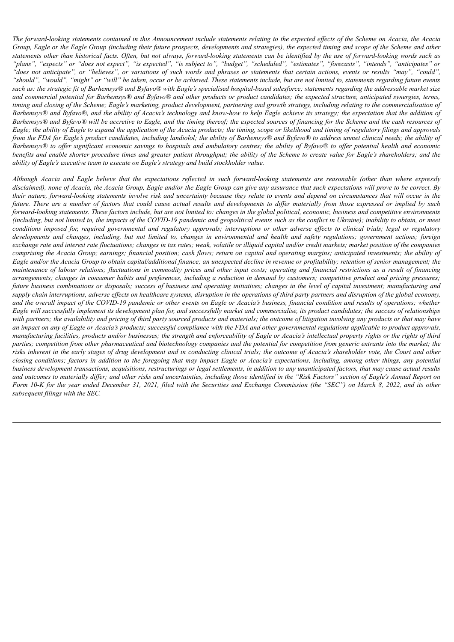The forward-looking statements contained in this Announcement include statements relating to the expected effects of the Scheme on Acacia, the Acacia Group, Eagle or the Eagle Group (including their future prospects, developments and strategies), the expected timing and scope of the Scheme and other statements other than historical facts. Often, but not always, forward-looking statements can be identified by the use of forward-looking words such as "plans", "expects" or "does not expect", "is expected", "is subject to", "budget", "scheduled", "estimates", "forecasts", "intends", "anticipates" or "does not anticipate", or "believes", or variations of such words and phrases or statements that certain actions, events or results "may", "could", "should", "would", "might" or "will" be taken, occur or be achieved. These statements include, but are not limited to, statements regarding future events such as: the strategic fit of Barhemsys® and Byfavo® with Eagle's specialised hospital-based salesforce; statements regarding the addressable market size and commercial potential for Barhemsys® and Byfavo® and other products or product candidates; the expected structure, anticipated synergies, terms, timing and closing of the Scheme; Eagle's marketing, product development, partnering and growth strategy, including relating to the commercialisation of Barhemsys® and Byfavo®, and the ability of Acacia's technology and know-how to help Eagle achieve its strategy; the expectation that the addition of Barhemsys® and Byfavo® will be accretive to Eagle, and the timing thereof; the expected sources of financing for the Scheme and the cash resources of Eagle; the ability of Eagle to expand the application of the Acacia products; the timing, scope or likelihood and timing of regulatory filings and approvals from the FDA for Eagle's product candidates, including landiolol, the ability of Barhemsys® and Byfavo® to address unmet clinical needs; the ability of Barhemsys® to offer significant economic savings to hospitals and ambulatory centres; the ability of Byfavo® to offer potential health and economic benefits and enable shorter procedure times and greater patient throughput; the ability of the Scheme to create value for Eagle's shareholders; and the *ability of Eagle's executive team to execute on Eagle's strategy and build stockholder value.*

Although Acacia and Eagle believe that the expectations reflected in such forward-looking statements are reasonable (other than where expressly disclaimed), none of Acacia, the Acacia Group, Eagle and/or the Eagle Group can give any assurance that such expectations will prove to be correct. By their nature, forward-looking statements involve risk and uncertainty because they relate to events and depend on circumstances that will occur in the future. There are a number of factors that could cause actual results and developments to differ materially from those expressed or implied by such forward-looking statements. These factors include, but are not limited to: changes in the global political, economic, business and competitive environments (including, but not limited to, the impacts of the COVID-19 pandemic and geopolitical events such as the conflict in Ukraine); inability to obtain, or meet conditions imposed for, required governmental and regulatory approvals; interruptions or other adverse effects to clinical trials; legal or regulatory developments and changes, including, but not limited to, changes in environmental and health and safety regulations; government actions; foreign exchange rate and interest rate fluctuations; changes in tax rates; weak, volatile or illiquid capital and/or credit markets; market position of the companies comprising the Acacia Group; earnings; financial position; cash flows; return on capital and operating margins; anticipated investments; the ability of Eagle and/or the Acacia Group to obtain capital/additional finance; an unexpected decline in revenue or profitability; retention of senior management; the maintenance of labour relations; fluctuations in commodity prices and other input costs; operating and financial restrictions as a result of financing arrangements; changes in consumer habits and preferences, including a reduction in demand by customers; competitive product and pricing pressures; future business combinations or disposals; success of business and operating initiatives; changes in the level of capital investment; manufacturing and supply chain interruptions, adverse effects on healthcare systems, disruption in the operations of third party partners and disruption of the global economy, and the overall impact of the COVID-19 pandemic or other events on Eagle or Acacia's business, financial condition and results of operations; whether Eagle will successfully implement its development plan for, and successfully market and commercialise, its product candidates; the success of relationships with partners; the availability and pricing of third party sourced products and materials; the outcome of litigation involving any products or that may have an impact on any of Eagle or Acacia's products; successful compliance with the FDA and other governmental regulations applicable to product approvals, manufacturing facilities, products and/or businesses; the strength and enforceability of Eagle or Acacia's intellectual property rights or the rights of third parties; competition from other pharmaceutical and biotechnology companies and the potential for competition from generic entrants into the market; the risks inherent in the early stages of drug development and in conducting clinical trials; the outcome of Acacia's shareholder vote, the Court and other closing conditions; factors in addition to the foregoing that may impact Eagle or Acacia's expectations, including, among other things, any potential business development transactions, acquisitions, restructurings or legal settlements, in addition to any unanticipated factors, that may cause actual results and outcomes to materially differ; and other risks and uncertainties, including those identified in the "Risk Factors" section of Eagle's Annual Report on Form 10-K for the year ended December 31, 2021, filed with the Securities and Exchange Commission (the "SEC") on March 8, 2022, and its other *subsequent filings with the SEC.*